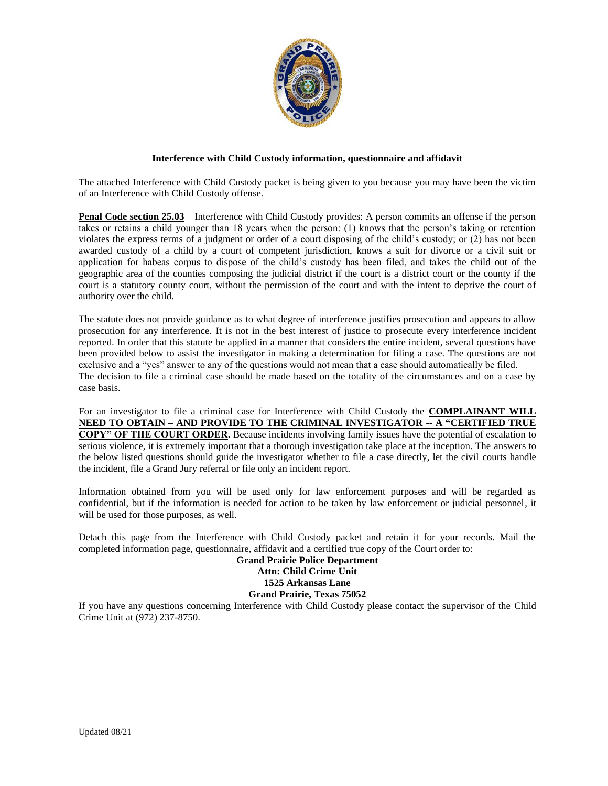

#### **Interference with Child Custody information, questionnaire and affidavit**

The attached Interference with Child Custody packet is being given to you because you may have been the victim of an Interference with Child Custody offense.

**Penal Code section 25.03** – Interference with Child Custody provides: A person commits an offense if the person takes or retains a child younger than 18 years when the person: (1) knows that the person's taking or retention violates the express terms of a judgment or order of a court disposing of the child's custody; or (2) has not been awarded custody of a child by a court of competent jurisdiction, knows a suit for divorce or a civil suit or application for habeas corpus to dispose of the child's custody has been filed, and takes the child out of the geographic area of the counties composing the judicial district if the court is a district court or the county if the court is a statutory county court, without the permission of the court and with the intent to deprive the court of authority over the child.

The statute does not provide guidance as to what degree of interference justifies prosecution and appears to allow prosecution for any interference. It is not in the best interest of justice to prosecute every interference incident reported. In order that this statute be applied in a manner that considers the entire incident, several questions have been provided below to assist the investigator in making a determination for filing a case. The questions are not exclusive and a "yes" answer to any of the questions would not mean that a case should automatically be filed. The decision to file a criminal case should be made based on the totality of the circumstances and on a case by case basis.

For an investigator to file a criminal case for Interference with Child Custody the **COMPLAINANT WILL NEED TO OBTAIN – AND PROVIDE TO THE CRIMINAL INVESTIGATOR -- A "CERTIFIED TRUE COPY" OF THE COURT ORDER.** Because incidents involving family issues have the potential of escalation to serious violence, it is extremely important that a thorough investigation take place at the inception. The answers to the below listed questions should guide the investigator whether to file a case directly, let the civil courts handle the incident, file a Grand Jury referral or file only an incident report.

Information obtained from you will be used only for law enforcement purposes and will be regarded as confidential, but if the information is needed for action to be taken by law enforcement or judicial personnel, it will be used for those purposes, as well.

Detach this page from the Interference with Child Custody packet and retain it for your records. Mail the completed information page, questionnaire, affidavit and a certified true copy of the Court order to:

#### **Grand Prairie Police Department Attn: Child Crime Unit 1525 Arkansas Lane Grand Prairie, Texas 75052**

If you have any questions concerning Interference with Child Custody please contact the supervisor of the Child Crime Unit at (972) 237-8750.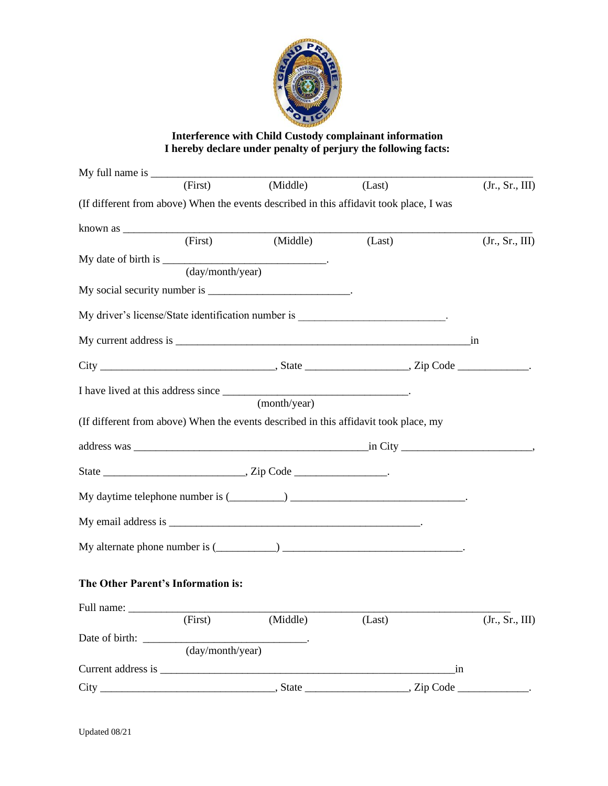

# **Interference with Child Custody complainant information I hereby declare under penalty of perjury the following facts:**

|                                    | (First)                       | (Middle)     | (Last)                                                                                  | (Jr., Sr., III)                 |
|------------------------------------|-------------------------------|--------------|-----------------------------------------------------------------------------------------|---------------------------------|
|                                    |                               |              | (If different from above) When the events described in this affidavit took place, I was |                                 |
|                                    |                               |              |                                                                                         |                                 |
|                                    | (First)                       | (Middle)     | (Last)                                                                                  | (Jr., Sr., III)                 |
|                                    |                               |              |                                                                                         |                                 |
|                                    | (day/month/year)              |              |                                                                                         |                                 |
|                                    |                               |              |                                                                                         |                                 |
|                                    |                               |              | My driver's license/State identification number is _____________________________        |                                 |
|                                    |                               |              |                                                                                         |                                 |
|                                    |                               |              |                                                                                         |                                 |
|                                    |                               |              |                                                                                         |                                 |
|                                    |                               | (month/year) |                                                                                         |                                 |
|                                    |                               |              | (If different from above) When the events described in this affidavit took place, my    |                                 |
|                                    |                               |              |                                                                                         |                                 |
|                                    |                               |              |                                                                                         |                                 |
|                                    |                               |              |                                                                                         |                                 |
|                                    |                               |              |                                                                                         |                                 |
|                                    |                               |              |                                                                                         |                                 |
| The Other Parent's Information is: |                               |              |                                                                                         |                                 |
| Full name:                         |                               |              |                                                                                         |                                 |
|                                    | (First)                       | (Middle)     | (Last)                                                                                  | (Jr., Sr., III)                 |
|                                    |                               |              |                                                                                         |                                 |
|                                    | $\overline{(day/month/year)}$ |              |                                                                                         |                                 |
|                                    |                               |              | in                                                                                      |                                 |
| $City_$                            |                               |              |                                                                                         | the contract of the contract of |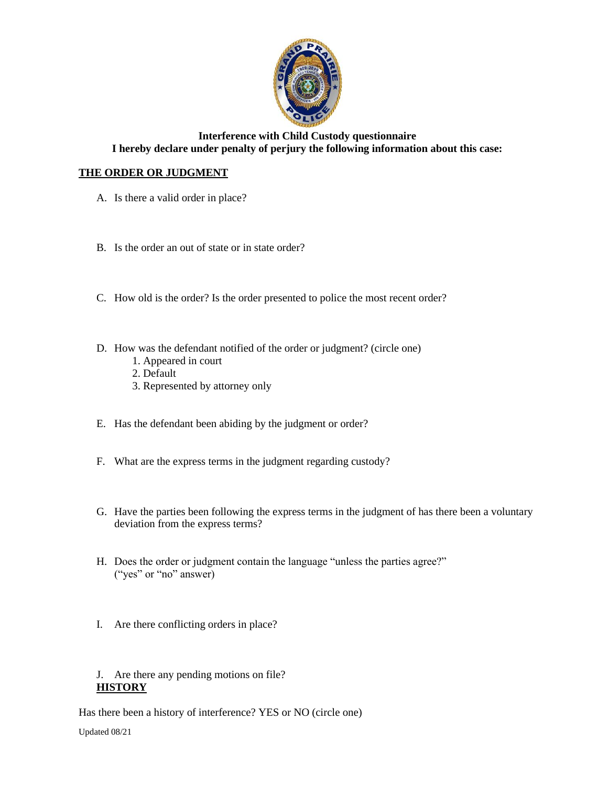

### **Interference with Child Custody questionnaire I hereby declare under penalty of perjury the following information about this case:**

# **THE ORDER OR JUDGMENT**

- A. Is there a valid order in place?
- B. Is the order an out of state or in state order?
- C. How old is the order? Is the order presented to police the most recent order?
- D. How was the defendant notified of the order or judgment? (circle one)
	- 1. Appeared in court
	- 2. Default
	- 3. Represented by attorney only
- E. Has the defendant been abiding by the judgment or order?
- F. What are the express terms in the judgment regarding custody?
- G. Have the parties been following the express terms in the judgment of has there been a voluntary deviation from the express terms?
- H. Does the order or judgment contain the language "unless the parties agree?" ("yes" or "no" answer)
- I. Are there conflicting orders in place?

#### J. Are there any pending motions on file? **HISTORY**

Has there been a history of interference? YES or NO (circle one)

Updated 08/21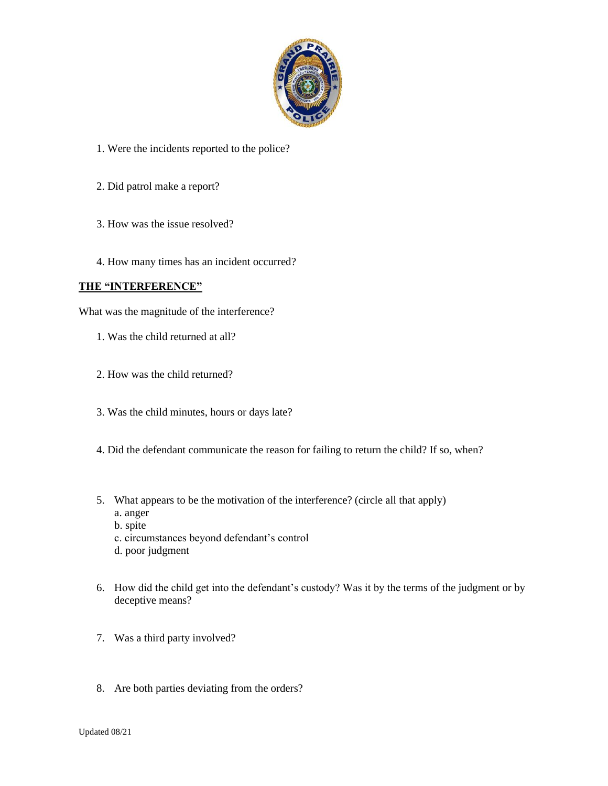

- 1. Were the incidents reported to the police?
- 2. Did patrol make a report?
- 3. How was the issue resolved?
- 4. How many times has an incident occurred?

#### **THE "INTERFERENCE"**

What was the magnitude of the interference?

- 1. Was the child returned at all?
- 2. How was the child returned?
- 3. Was the child minutes, hours or days late?
- 4. Did the defendant communicate the reason for failing to return the child? If so, when?
- 5. What appears to be the motivation of the interference? (circle all that apply) a. anger
	- b. spite
	- c. circumstances beyond defendant's control
	- d. poor judgment
- 6. How did the child get into the defendant's custody? Was it by the terms of the judgment or by deceptive means?
- 7. Was a third party involved?
- 8. Are both parties deviating from the orders?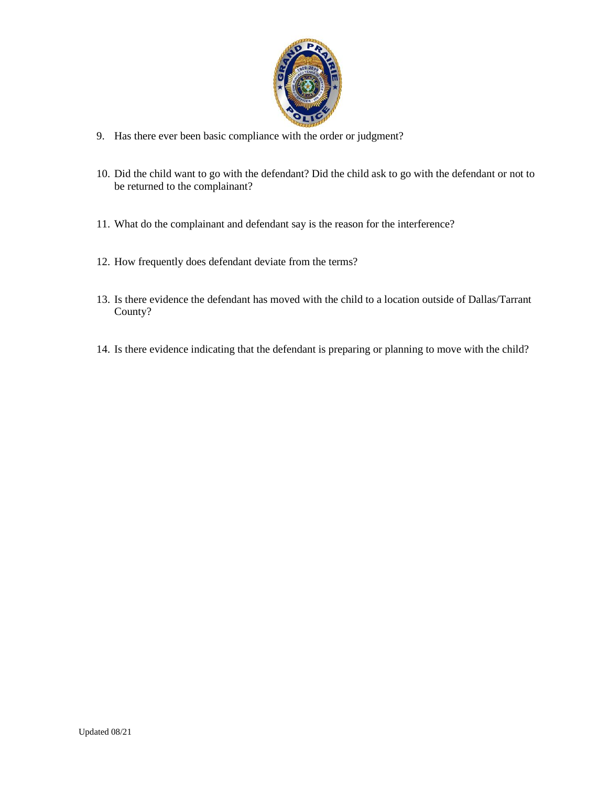

- 9. Has there ever been basic compliance with the order or judgment?
- 10. Did the child want to go with the defendant? Did the child ask to go with the defendant or not to be returned to the complainant?
- 11. What do the complainant and defendant say is the reason for the interference?
- 12. How frequently does defendant deviate from the terms?
- 13. Is there evidence the defendant has moved with the child to a location outside of Dallas/Tarrant County?
- 14. Is there evidence indicating that the defendant is preparing or planning to move with the child?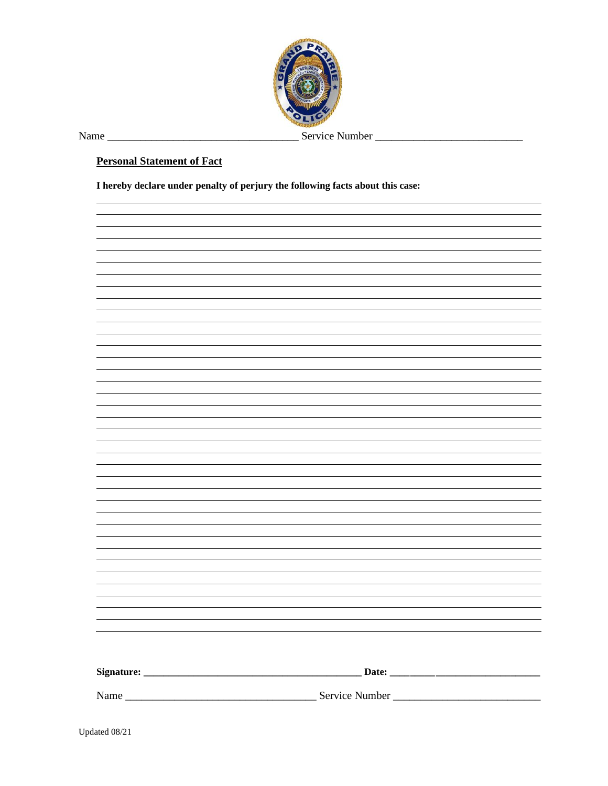

Name \_\_\_\_\_\_\_\_\_\_\_\_\_\_\_\_\_\_\_\_\_\_\_\_\_\_\_\_\_\_\_\_\_\_\_ Service Number \_\_\_\_\_\_\_\_\_\_\_\_\_\_\_\_\_\_\_\_\_\_\_\_\_\_\_

### **Personal Statement of Fact**

**I hereby declare under penalty of perjury the following facts about this case:**